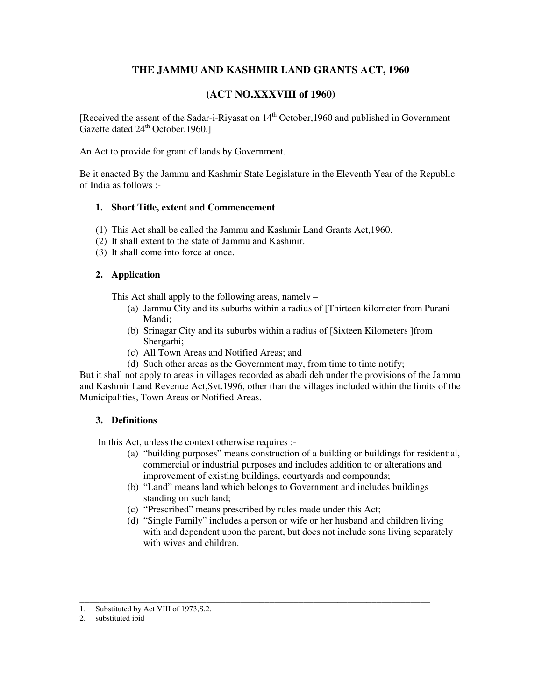# **THE JAMMU AND KASHMIR LAND GRANTS ACT, 1960**

# **(ACT NO.XXXVIII of 1960)**

[Received the assent of the Sadar-i-Riyasat on  $14<sup>th</sup>$  October, 1960 and published in Government Gazette dated  $24^{\text{th}}$  October, 1960.]

An Act to provide for grant of lands by Government.

Be it enacted By the Jammu and Kashmir State Legislature in the Eleventh Year of the Republic of India as follows :-

## **1. Short Title, extent and Commencement**

- (1) This Act shall be called the Jammu and Kashmir Land Grants Act,1960.
- (2) It shall extent to the state of Jammu and Kashmir.
- (3) It shall come into force at once.

## **2. Application**

This Act shall apply to the following areas, namely –

- (a) Jammu City and its suburbs within a radius of [Thirteen kilometer from Purani Mandi;
- (b) Srinagar City and its suburbs within a radius of [Sixteen Kilometers ]from Shergarhi;
- (c) All Town Areas and Notified Areas; and
- (d) Such other areas as the Government may, from time to time notify;

But it shall not apply to areas in villages recorded as abadi deh under the provisions of the Jammu and Kashmir Land Revenue Act,Svt.1996, other than the villages included within the limits of the Municipalities, Town Areas or Notified Areas.

## **3. Definitions**

In this Act, unless the context otherwise requires :-

- (a) "building purposes" means construction of a building or buildings for residential, commercial or industrial purposes and includes addition to or alterations and improvement of existing buildings, courtyards and compounds;
- (b) "Land" means land which belongs to Government and includes buildings standing on such land;
- (c) "Prescribed" means prescribed by rules made under this Act;

\_\_\_\_\_\_\_\_\_\_\_\_\_\_\_\_\_\_\_\_\_\_\_\_\_\_\_\_\_\_\_\_\_\_\_\_\_\_\_\_\_\_\_\_\_\_\_\_\_\_\_\_\_\_\_\_\_\_\_\_\_\_\_\_\_\_\_\_\_\_\_\_

(d) "Single Family" includes a person or wife or her husband and children living with and dependent upon the parent, but does not include sons living separately with wives and children.

<sup>1.</sup> Substituted by Act VIII of 1973,S.2.

<sup>2.</sup> substituted ibid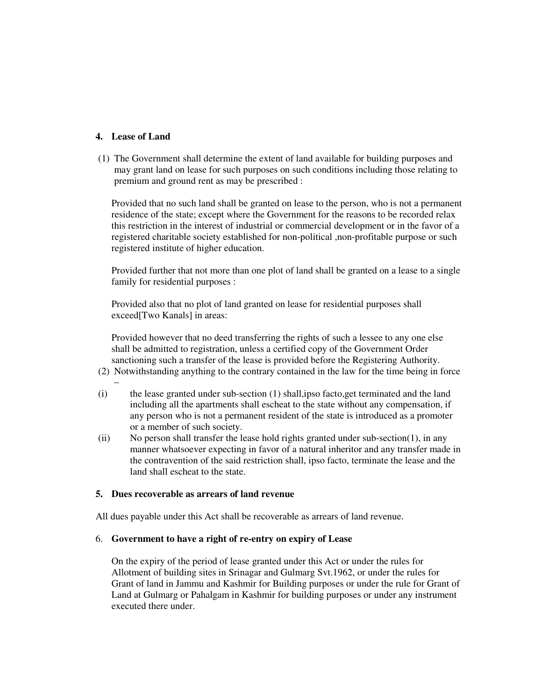### **4. Lease of Land**

(1) The Government shall determine the extent of land available for building purposes and may grant land on lease for such purposes on such conditions including those relating to premium and ground rent as may be prescribed :

Provided that no such land shall be granted on lease to the person, who is not a permanent residence of the state; except where the Government for the reasons to be recorded relax this restriction in the interest of industrial or commercial development or in the favor of a registered charitable society established for non-political ,non-profitable purpose or such registered institute of higher education.

Provided further that not more than one plot of land shall be granted on a lease to a single family for residential purposes :

Provided also that no plot of land granted on lease for residential purposes shall exceed[Two Kanals] in areas:

Provided however that no deed transferring the rights of such a lessee to any one else shall be admitted to registration, unless a certified copy of the Government Order sanctioning such a transfer of the lease is provided before the Registering Authority.

- (2) Notwithstanding anything to the contrary contained in the law for the time being in force –
- (i) the lease granted under sub-section (1) shall,ipso facto,get terminated and the land including all the apartments shall escheat to the state without any compensation, if any person who is not a permanent resident of the state is introduced as a promoter or a member of such society.
- (ii) No person shall transfer the lease hold rights granted under sub-section(1), in any manner whatsoever expecting in favor of a natural inheritor and any transfer made in the contravention of the said restriction shall, ipso facto, terminate the lease and the land shall escheat to the state.

### **5. Dues recoverable as arrears of land revenue**

All dues payable under this Act shall be recoverable as arrears of land revenue.

#### 6. **Government to have a right of re-entry on expiry of Lease**

On the expiry of the period of lease granted under this Act or under the rules for Allotment of building sites in Srinagar and Gulmarg Svt.1962, or under the rules for Grant of land in Jammu and Kashmir for Building purposes or under the rule for Grant of Land at Gulmarg or Pahalgam in Kashmir for building purposes or under any instrument executed there under.